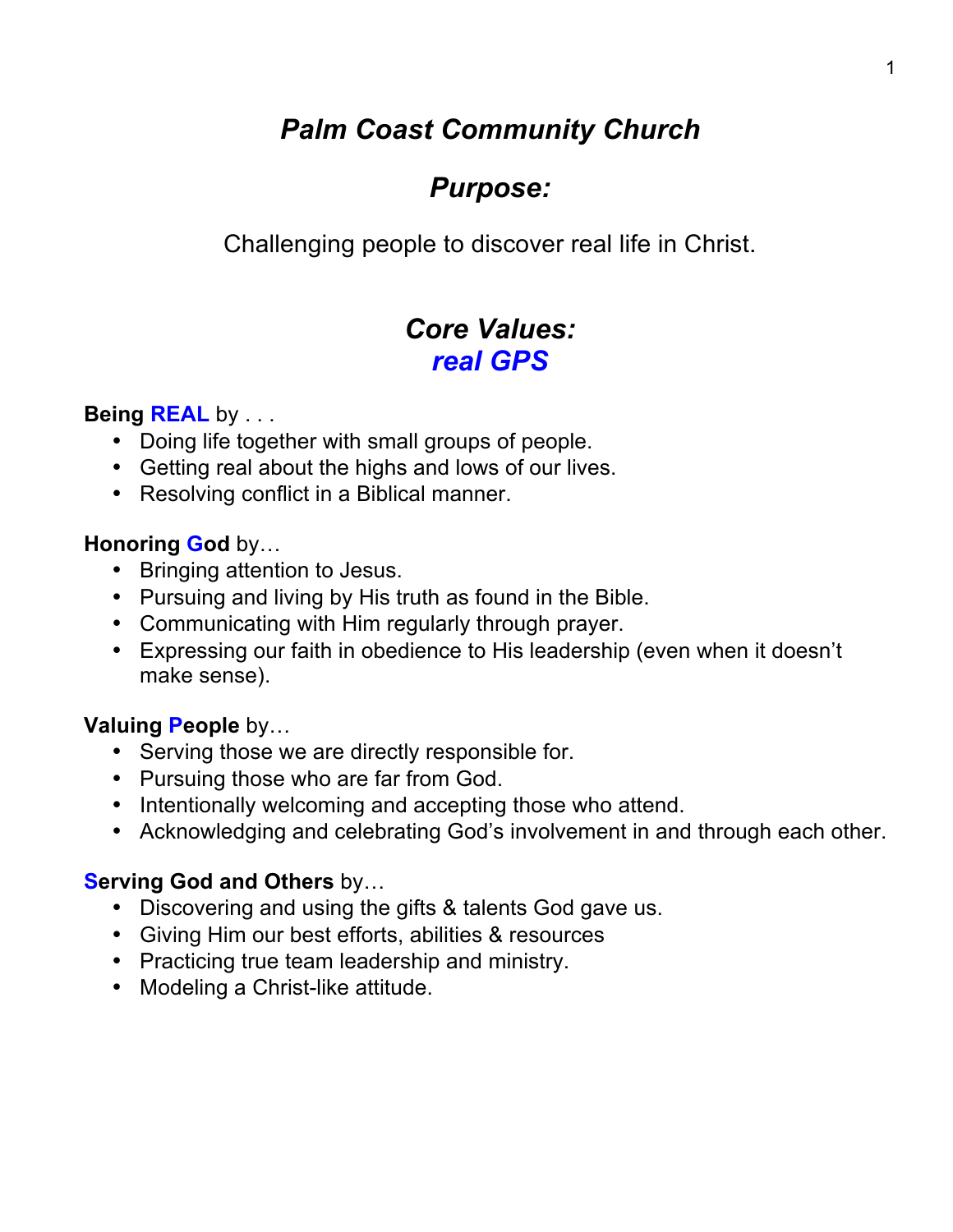# *Palm Coast Community Church*

# *Purpose:*

Challenging people to discover real life in Christ.

# *Core Values: real GPS*

# **Being REAL** by . . .

- Doing life together with small groups of people.
- Getting real about the highs and lows of our lives.
- Resolving conflict in a Biblical manner.

## **Honoring God** by…

- Bringing attention to Jesus.
- Pursuing and living by His truth as found in the Bible.
- Communicating with Him regularly through prayer.
- Expressing our faith in obedience to His leadership (even when it doesn't make sense).

# **Valuing People** by…

- Serving those we are directly responsible for.
- Pursuing those who are far from God.
- Intentionally welcoming and accepting those who attend.
- Acknowledging and celebrating God's involvement in and through each other.

# **Serving God and Others** by…

- Discovering and using the gifts & talents God gave us.
- Giving Him our best efforts, abilities & resources
- Practicing true team leadership and ministry.
- Modeling a Christ-like attitude.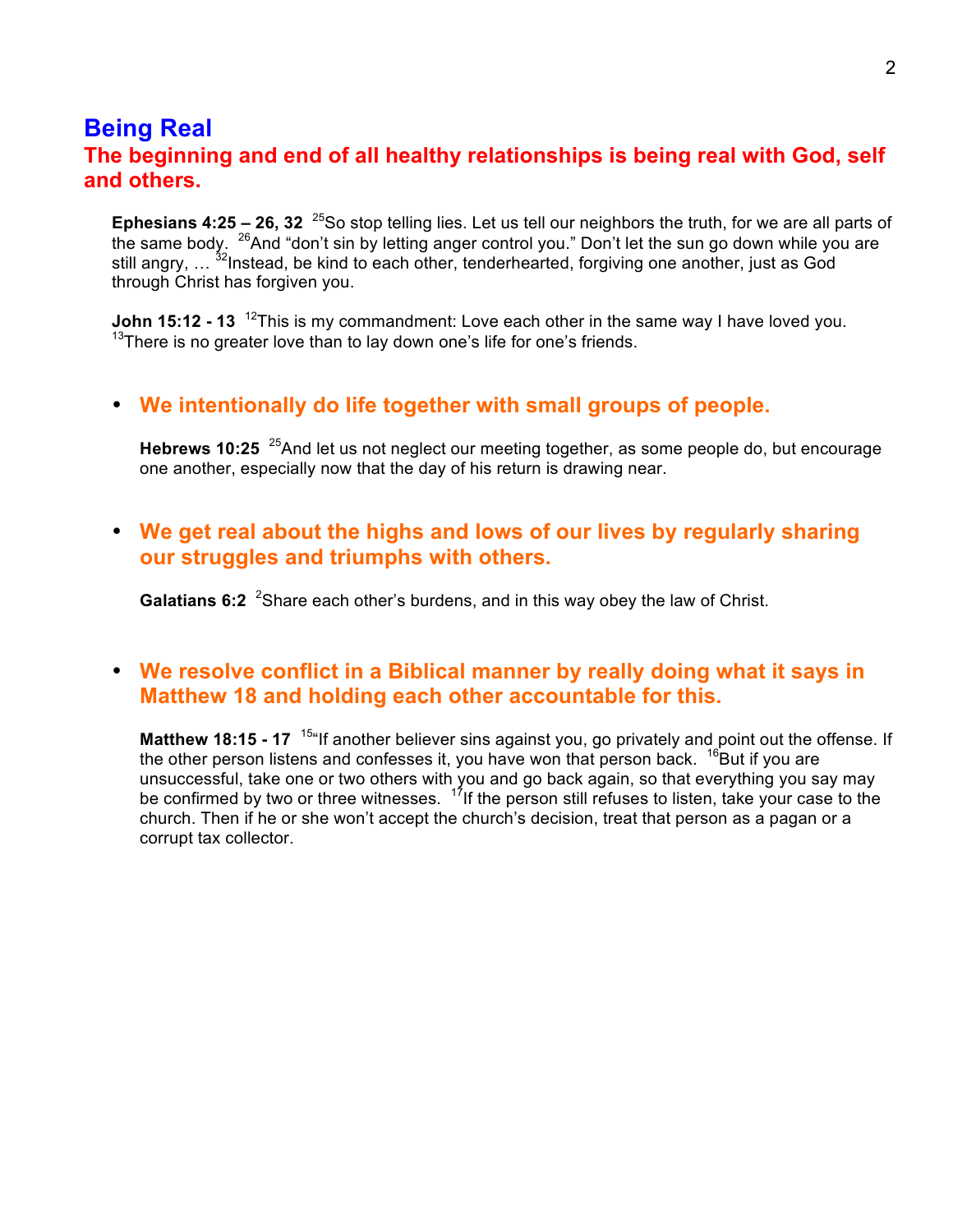## **Being Real The beginning and end of all healthy relationships is being real with God, self and others.**

**Ephesians 4:25 – 26, 32** <sup>25</sup>So stop telling lies. Let us tell our neighbors the truth, for we are all parts of the same body. <sup>26</sup>And "don't sin by letting anger control you." Don't let the sun go down while you are still angry, ... <sup>32</sup>Instead, be kind to each other, tenderhearted, forgiving one another, just as God through Christ has forgiven you.

**John 15:12 - 13** <sup>12</sup>This is my commandment: Love each other in the same way I have loved you.  $13$ There is no greater love than to lay down one's life for one's friends.

#### • **We intentionally do life together with small groups of people.**

**Hebrews 10:25** <sup>25</sup>And let us not neglect our meeting together, as some people do, but encourage one another, especially now that the day of his return is drawing near.

• **We get real about the highs and lows of our lives by regularly sharing our struggles and triumphs with others.**

Galatians 6:2<sup>2</sup> Share each other's burdens, and in this way obey the law of Christ.

#### • **We resolve conflict in a Biblical manner by really doing what it says in Matthew 18 and holding each other accountable for this.**

**Matthew 18:15 - 17** <sup>15"</sup> If another believer sins against you, go privately and point out the offense. If the other person listens and confesses it, you have won that person back.  $16$ But if you are unsuccessful, take one or two others with you and go back again, so that everything you say may be confirmed by two or three witnesses. 17If the person still refuses to listen, take your case to the church. Then if he or she won't accept the church's decision, treat that person as a pagan or a corrupt tax collector.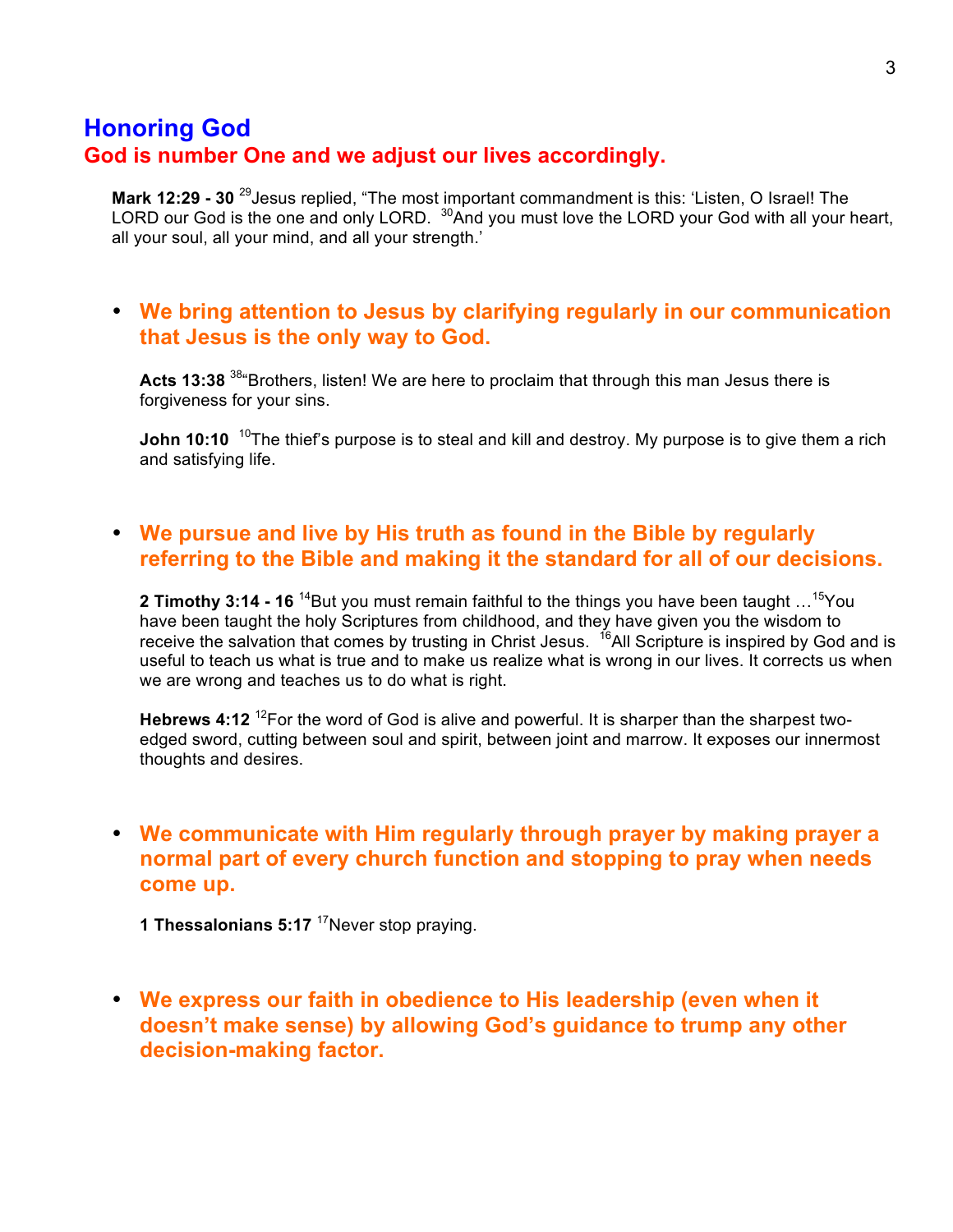## **Honoring God God is number One and we adjust our lives accordingly.**

**Mark 12:29 - 30** 29Jesus replied, "The most important commandment is this: 'Listen, O Israel! The LORD our God is the one and only LORD. <sup>30</sup>And you must love the LORD your God with all your heart, all your soul, all your mind, and all your strength.'

### • **We bring attention to Jesus by clarifying regularly in our communication that Jesus is the only way to God.**

Acts 13:38<sup>38</sup> Brothers, listen! We are here to proclaim that through this man Jesus there is forgiveness for your sins.

**John 10:10** <sup>10</sup>The thief's purpose is to steal and kill and destroy. My purpose is to give them a rich and satisfying life.

### • **We pursue and live by His truth as found in the Bible by regularly referring to the Bible and making it the standard for all of our decisions.**

**2 Timothy 3:14 - 16** <sup>14</sup>But you must remain faithful to the things you have been taught ...<sup>15</sup>You have been taught the holy Scriptures from childhood, and they have given you the wisdom to receive the salvation that comes by trusting in Christ Jesus. <sup>16</sup>All Scripture is inspired by God and is useful to teach us what is true and to make us realize what is wrong in our lives. It corrects us when we are wrong and teaches us to do what is right.

Hebrews 4:12<sup>12</sup>For the word of God is alive and powerful. It is sharper than the sharpest twoedged sword, cutting between soul and spirit, between joint and marrow. It exposes our innermost thoughts and desires.

## • **We communicate with Him regularly through prayer by making prayer a normal part of every church function and stopping to pray when needs come up.**

**1 Thessalonians 5:17** <sup>17</sup>Never stop praying.

• **We express our faith in obedience to His leadership (even when it doesn't make sense) by allowing God's guidance to trump any other decision-making factor.**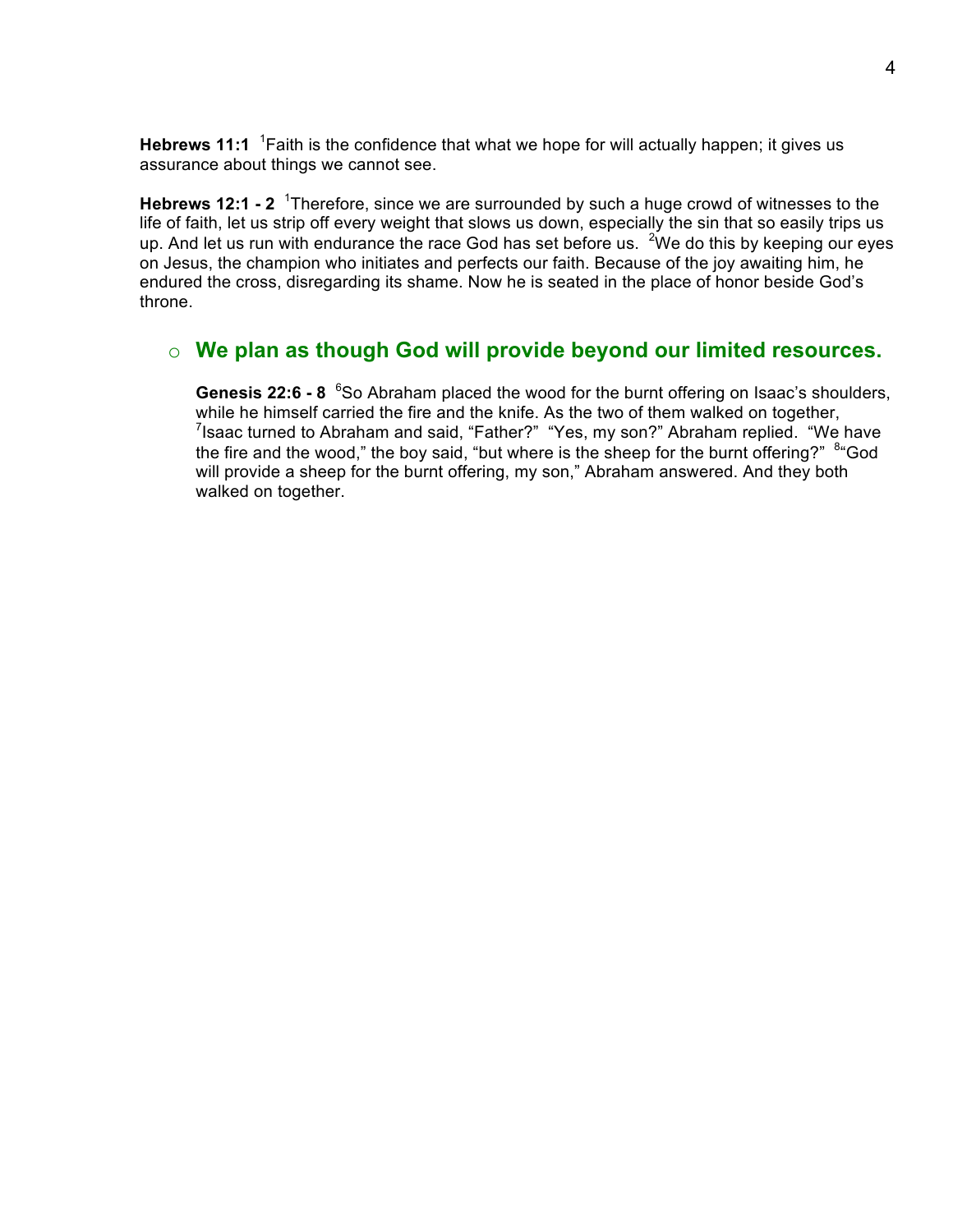Hebrews 11:1 <sup>1</sup> Faith is the confidence that what we hope for will actually happen; it gives us assurance about things we cannot see.

Hebrews 12:1 - 2<sup>1</sup> Therefore, since we are surrounded by such a huge crowd of witnesses to the life of faith, let us strip off every weight that slows us down, especially the sin that so easily trips us up. And let us run with endurance the race God has set before us. <sup>2</sup>We do this by keeping our eyes on Jesus, the champion who initiates and perfects our faith. Because of the joy awaiting him, he endured the cross, disregarding its shame. Now he is seated in the place of honor beside God's throne.

## o **We plan as though God will provide beyond our limited resources.**

Genesis 22:6 - 8 <sup>6</sup>So Abraham placed the wood for the burnt offering on Isaac's shoulders, while he himself carried the fire and the knife. As the two of them walked on together,  $7$ Isaac turned to Abraham and said, "Father?" "Yes, my son?" Abraham replied. "We have the fire and the wood," the boy said, "but where is the sheep for the burnt offering?" <sup>8</sup> God will provide a sheep for the burnt offering, my son," Abraham answered. And they both walked on together.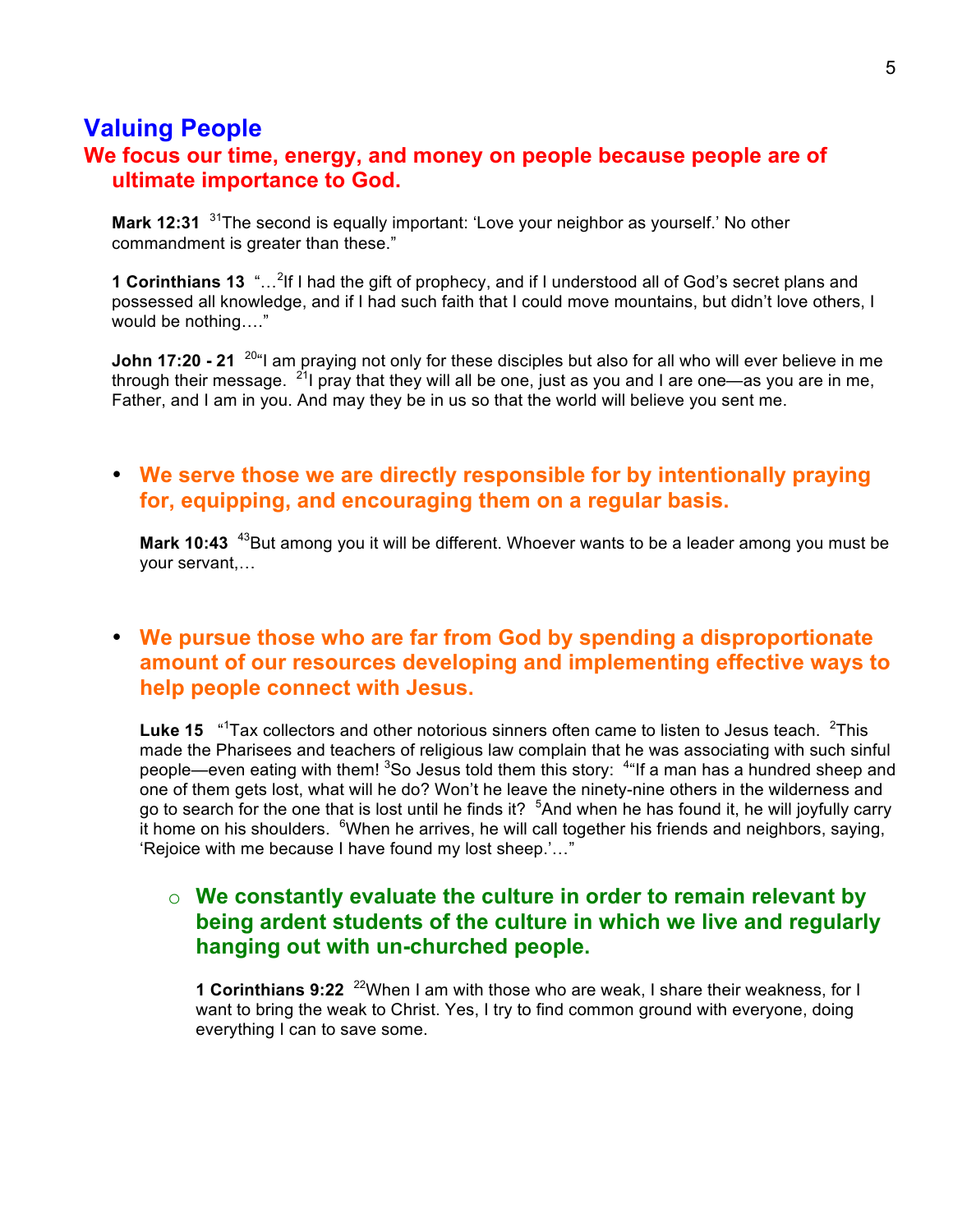## **Valuing People**

## **We focus our time, energy, and money on people because people are of ultimate importance to God.**

**Mark 12:31** <sup>31</sup>The second is equally important: 'Love your neighbor as yourself.' No other commandment is greater than these."

**1 Corinthians 13** "...<sup>2</sup>If I had the gift of prophecy, and if I understood all of God's secret plans and possessed all knowledge, and if I had such faith that I could move mountains, but didn't love others, I would be nothing…."

**John 17:20 - 21** <sup>20</sup> am praying not only for these disciples but also for all who will ever believe in me through their message.  $^{21}$  pray that they will all be one, just as you and I are one—as you are in me, Father, and I am in you. And may they be in us so that the world will believe you sent me.

## • **We serve those we are directly responsible for by intentionally praying for, equipping, and encouraging them on a regular basis.**

**Mark 10:43** <sup>43</sup>But among you it will be different. Whoever wants to be a leader among you must be your servant,…

## • **We pursue those who are far from God by spending a disproportionate amount of our resources developing and implementing effective ways to help people connect with Jesus.**

Luke 15 <sup>"1</sup> Tax collectors and other notorious sinners often came to listen to Jesus teach. <sup>2</sup> This made the Pharisees and teachers of religious law complain that he was associating with such sinful people—even eating with them! <sup>3</sup>So Jesus told them this story: <sup>4</sup>"If a man has a hundred sheep and one of them gets lost, what will he do? Won't he leave the ninety-nine others in the wilderness and go to search for the one that is lost until he finds it? <sup>5</sup>And when he has found it, he will joyfully carry it home on his shoulders. <sup>6</sup>When he arrives, he will call together his friends and neighbors, saying, 'Rejoice with me because I have found my lost sheep.'…"

## o **We constantly evaluate the culture in order to remain relevant by being ardent students of the culture in which we live and regularly hanging out with un-churched people.**

**1 Corinthians 9:22** <sup>22</sup>When I am with those who are weak, I share their weakness, for I want to bring the weak to Christ. Yes, I try to find common ground with everyone, doing everything I can to save some.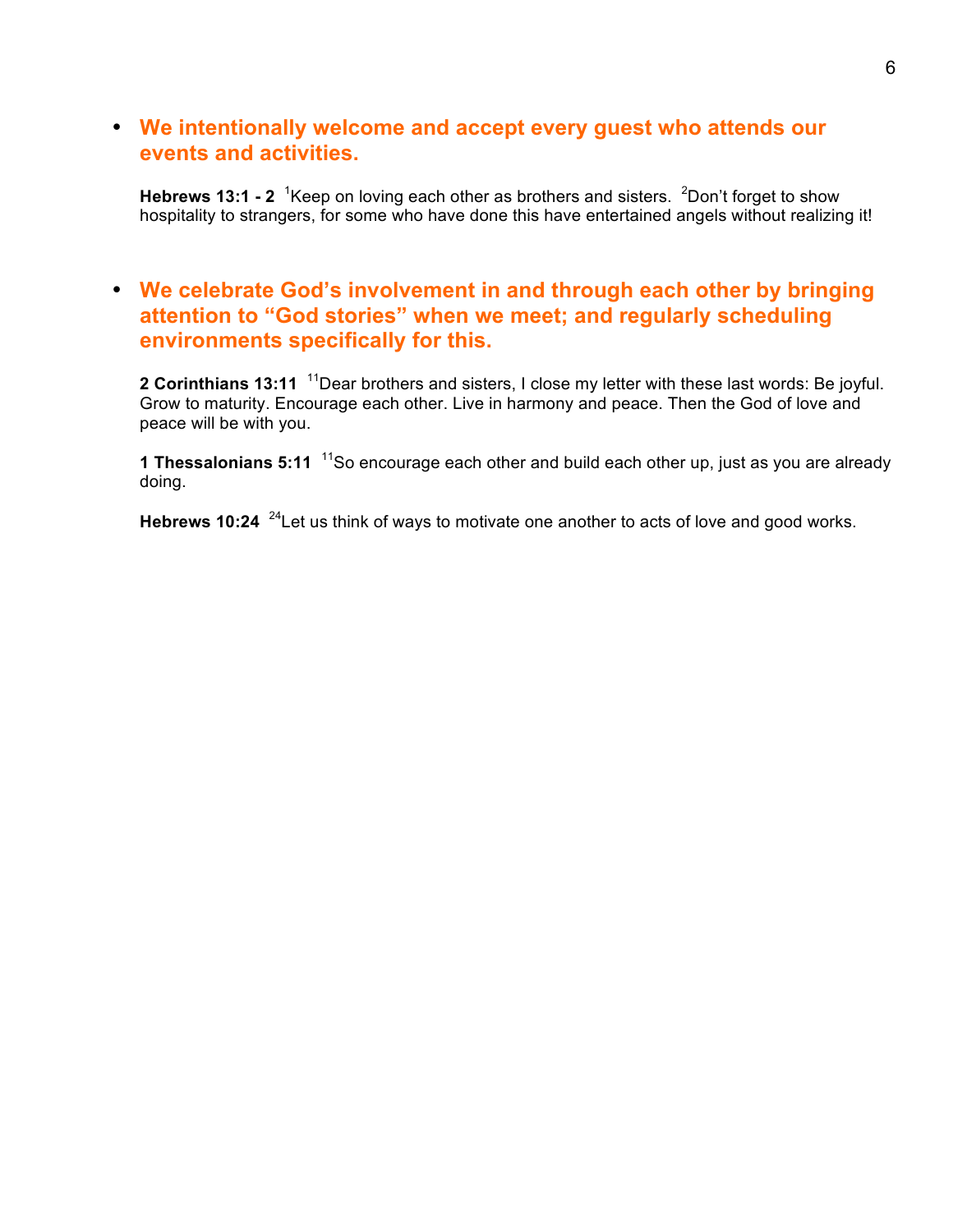## • **We intentionally welcome and accept every guest who attends our events and activities.**

Hebrews 13:1 - 2<sup>1</sup> Keep on loving each other as brothers and sisters. <sup>2</sup>Don't forget to show hospitality to strangers, for some who have done this have entertained angels without realizing it!

## • **We celebrate God's involvement in and through each other by bringing attention to "God stories" when we meet; and regularly scheduling environments specifically for this.**

**2 Corinthians 13:11** 11Dear brothers and sisters, I close my letter with these last words: Be joyful. Grow to maturity. Encourage each other. Live in harmony and peace. Then the God of love and peace will be with you.

**1 Thessalonians 5:11** 11So encourage each other and build each other up, just as you are already doing.

**Hebrews 10:24** <sup>24</sup> Let us think of ways to motivate one another to acts of love and good works.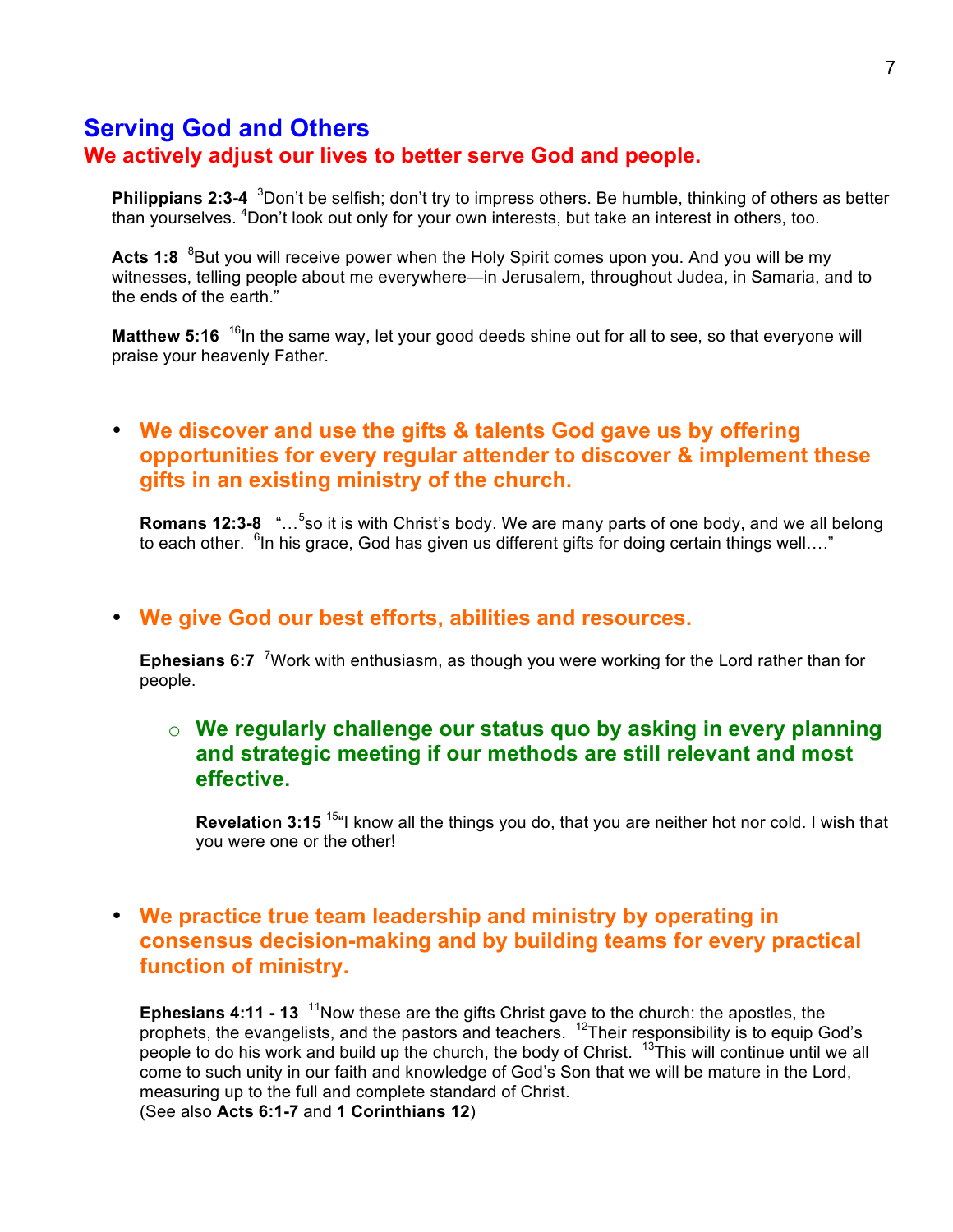## **Serving God and Others We actively adjust our lives to better serve God and people.**

**Philippians 2:3-4** <sup>3</sup>Don't be selfish; don't try to impress others. Be humble, thinking of others as better than yourselves. <sup>4</sup>Don't look out only for your own interests, but take an interest in others, too.

Acts 1:8 <sup>8</sup>But you will receive power when the Holy Spirit comes upon you. And you will be my witnesses, telling people about me everywhere—in Jerusalem, throughout Judea, in Samaria, and to the ends of the earth."

**Matthew 5:16** <sup>16</sup>In the same way, let your good deeds shine out for all to see, so that everyone will praise your heavenly Father.

## • **We discover and use the gifts & talents God gave us by offering opportunities for every regular attender to discover & implement these gifts in an existing ministry of the church.**

Romans 12:3-8 "...<sup>5</sup>so it is with Christ's body. We are many parts of one body, and we all belong to each other. <sup>6</sup>In his grace, God has given us different gifts for doing certain things well...."

#### • **We give God our best efforts, abilities and resources.**

Ephesians 6:7<sup>7</sup> Work with enthusiasm, as though you were working for the Lord rather than for people.

#### o **We regularly challenge our status quo by asking in every planning and strategic meeting if our methods are still relevant and most effective.**

**Revelation 3:15** 15"I know all the things you do, that you are neither hot nor cold. I wish that you were one or the other!

## • **We practice true team leadership and ministry by operating in consensus decision-making and by building teams for every practical function of ministry.**

**Ephesians 4:11 - 13** <sup>11</sup>Now these are the gifts Christ gave to the church: the apostles, the prophets, the evangelists, and the pastors and teachers. 12Their responsibility is to equip God's people to do his work and build up the church, the body of Christ. <sup>13</sup>This will continue until we all come to such unity in our faith and knowledge of God's Son that we will be mature in the Lord, measuring up to the full and complete standard of Christ. (See also **Acts 6:1-7** and **1 Corinthians 12**)